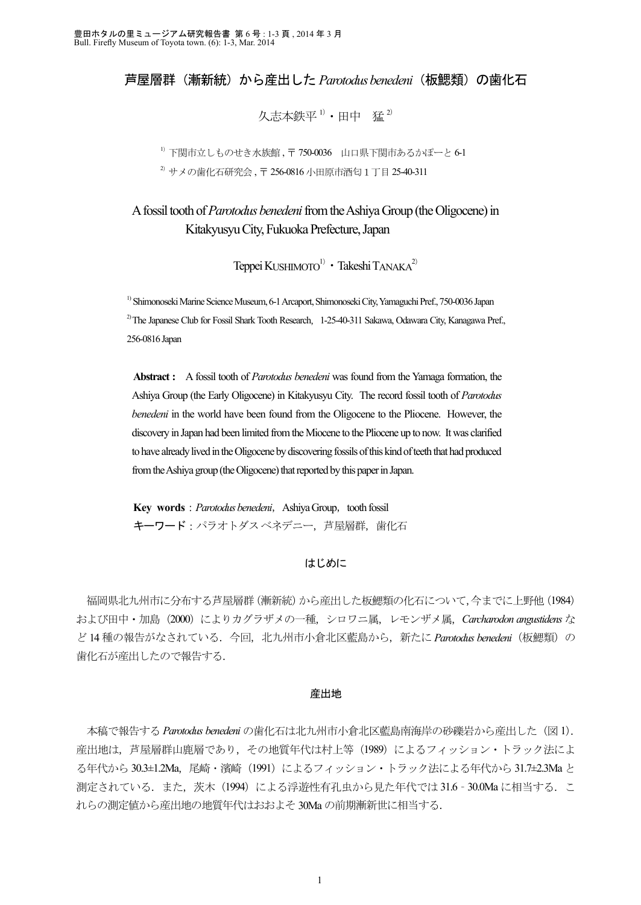# 芦屋層群(漸新統)から産出した *Parotodus benedeni*(板鰓類)の歯化石

久志本鉄平<sup>1)</sup>・田中 猛<sup>2)</sup>

<sup>1)</sup> 下関市立しものせき水族館 , 〒 750-0036 山口県下関市あるかぽーと 6-1 <sup>2)</sup> サメの歯化石研究会, 〒 256-0816 小田原市酒匂1丁目 25-40-311

A fossil tooth of *Parotodus benedeni* from the Ashiya Group (the Oligocene) in Kitakyusyu City, Fukuoka Prefecture, Japan

Teppei KUSHIMOTO<sup>1)</sup> • Takeshi TANAKA<sup>2)</sup>

1) Shimonoseki Marine Science Museum, 6-1 Arcaport, Shimonoseki City, Yamaguchi Pref., 750-0036 Japan <sup>2)</sup> The Japanese Club for Fossil Shark Tooth Research, 1-25-40-311 Sakawa, Odawara City, Kanagawa Pref., 256-0816 Japan

**Abstract :** A fossil tooth of *Parotodus benedeni* was found from the Yamaga formation, the Ashiya Group (the Early Oligocene) in Kitakyusyu City. The record fossil tooth of *Parotodus benedeni* in the world have been found from the Oligocene to the Pliocene. However, the discovery in Japan had been limited from the Miocene to the Pliocene up to now. It was clarified to have already lived in the Oligocene by discovering fossils of this kind of teeth that had produced from the Ashiya group (the Oligocene) that reported by this paper in Japan.

**Key words** : *Parotodus benedeni*, Ashiya Group, tooth fossil キーワード: パラオトダスベネデニー, 芦屋層群, 歯化石

## はじめに

 福岡県北九州市に分布する芦屋層群(漸新統)から産出した板鰓類の化石について,今までに上野他(1984) および田中·加島 (2000)によりカグラザメの一種、シロワニ属、レモンザメ属、Carcharodon angustidens な ど 14 種の報告がなされている.今回,北九州市小倉北区藍島から,新たに *Parotodus benedeni*(板鰓類)の 歯化石が産出したので報告する.

### 産出地

 本稿で報告する *Parotodus benedeni* の歯化石は北九州市小倉北区藍島南海岸の砂礫岩から産出した(図 1). 産出地は、芦屋層群山鹿層であり、その地質年代は村上等 (1989) によるフィッション・トラック法によ る年代から 30.3±1.2Ma, 尾崎·濱崎 (1991)によるフィッション・トラック法による年代から 31.7±2.3Ma と 測定されている.また,茨木 (1994)による浮遊性有孔虫から見た年代では 31.6 - 30.0Ma に相当する.こ れらの測定値から産出地の地質年代はおおよそ 30Ma の前期漸新世に相当する.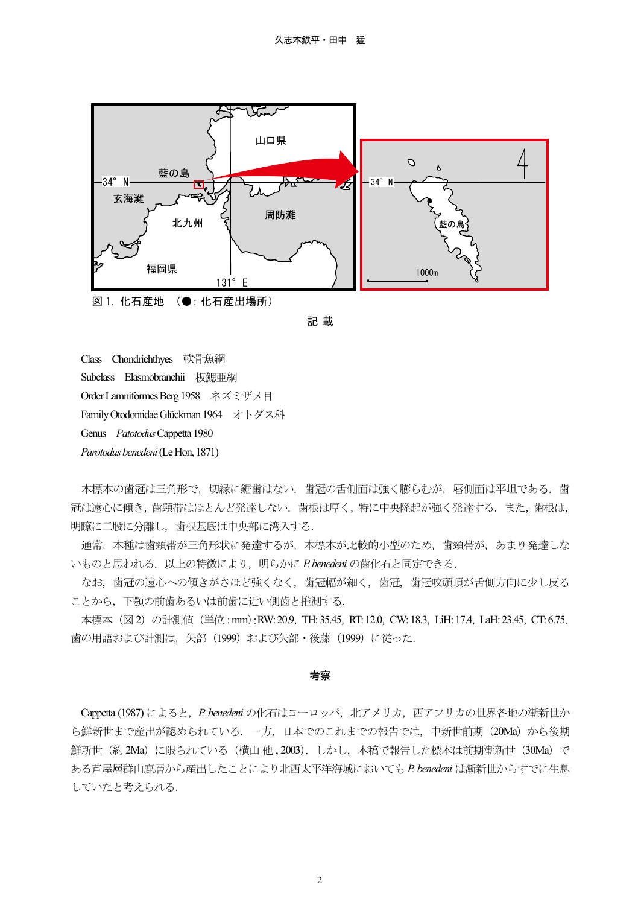



Class Chondrichthyes 軟骨魚綱 Subclass Elasmobranchii 板鰓亜綱 Order Lamniformes Berg 1958 ネズミザメ目 Family Otodontidae Glückman 1964 オトダス科 Genus *Patotodus* Cappetta 1980 *Parotodus benedeni* (Le Hon, 1871)

本標本の歯冠は三角形で、切縁に鋸歯はない.歯冠の舌側面は強く膨らむが、唇側面は平坦である.歯 冠は遠心に傾き,歯頸帯はほとんど発達しない.歯根は厚く,特に中央隆起が強く発達する.また,歯根は, 明瞭に二股に分離し,歯根基底は中央部に湾入する.

 通常,本種は歯頸帯が三角形状に発達するが,本標本が比較的小型のため,歯頸帯が,あまり発達しな いものと思われる.以上の特徴により,明らかに *P. benedeni* の歯化石と同定できる.

 なお,歯冠の遠心への傾きがさほど強くなく,歯冠幅が細く,歯冠,歯冠咬頭頂が舌側方向に少し反る ことから、下顎の前歯あるいは前歯に近い側歯と推測する.

本標本 (図 2) の計測値 (単位 : mm):RW: 20.9, TH: 35.45, RT: 12.0, CW: 18.3, LiH: 17.4, LaH: 23.45, CT: 6.75. 歯の用語および計測は、矢部 (1999) および矢部・後藤 (1999) に従った.

#### 考察

Cappetta (1987) によると, *P. benedeni* の化石はヨーロッパ, 北アメリカ, 西アフリカの世界各地の漸新世か - capperm (1997, 1988 of 1cm management of 12 management of 10 management of 10 management of 10 management of<br>ら鮮新世まで産出が認められている.一方,日本でのこれまでの報告では,中新世前期(20Ma)から後期 鮮新世(約 2Ma)に限られている(横山 他, 2003). しかし,本稿で報告した標本は前期漸新世 (30Ma)で ある芦屋層群山鹿層から産出したことにより北西太平洋海域においても *P. benedeni* は漸新世からすでに生息 していたと考えられる.

2